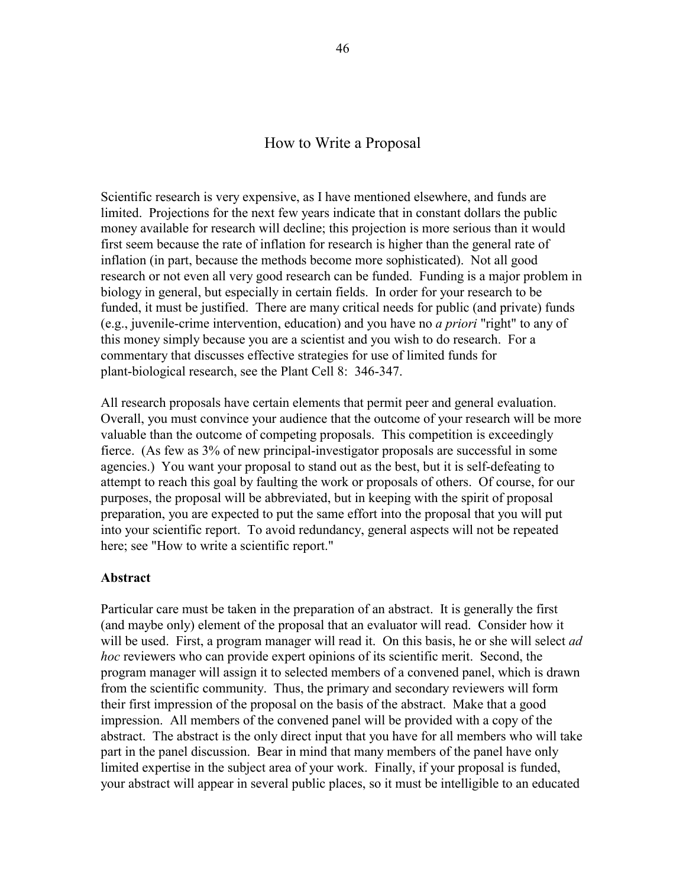# How to Write a Proposal

Scientific research is very expensive, as I have mentioned elsewhere, and funds are limited. Projections for the next few years indicate that in constant dollars the public money available for research will decline; this projection is more serious than it would first seem because the rate of inflation for research is higher than the general rate of inflation (in part, because the methods become more sophisticated). Not all good research or not even all very good research can be funded. Funding is a major problem in biology in general, but especially in certain fields. In order for your research to be funded, it must be justified. There are many critical needs for public (and private) funds (e.g., juvenile-crime intervention, education) and you have no *a priori* "right" to any of this money simply because you are a scientist and you wish to do research. For a commentary that discusses effective strategies for use of limited funds for plant-biological research, see the Plant Cell 8: 346-347.

All research proposals have certain elements that permit peer and general evaluation. Overall, you must convince your audience that the outcome of your research will be more valuable than the outcome of competing proposals. This competition is exceedingly fierce. (As few as 3% of new principal-investigator proposals are successful in some agencies.) You want your proposal to stand out as the best, but it is self-defeating to attempt to reach this goal by faulting the work or proposals of others. Of course, for our purposes, the proposal will be abbreviated, but in keeping with the spirit of proposal preparation, you are expected to put the same effort into the proposal that you will put into your scientific report. To avoid redundancy, general aspects will not be repeated here; see "How to write a scientific report."

#### **Abstract**

Particular care must be taken in the preparation of an abstract. It is generally the first (and maybe only) element of the proposal that an evaluator will read. Consider how it will be used. First, a program manager will read it. On this basis, he or she will select *ad hoc* reviewers who can provide expert opinions of its scientific merit. Second, the program manager will assign it to selected members of a convened panel, which is drawn from the scientific community. Thus, the primary and secondary reviewers will form their first impression of the proposal on the basis of the abstract. Make that a good impression. All members of the convened panel will be provided with a copy of the abstract. The abstract is the only direct input that you have for all members who will take part in the panel discussion. Bear in mind that many members of the panel have only limited expertise in the subject area of your work. Finally, if your proposal is funded, your abstract will appear in several public places, so it must be intelligible to an educated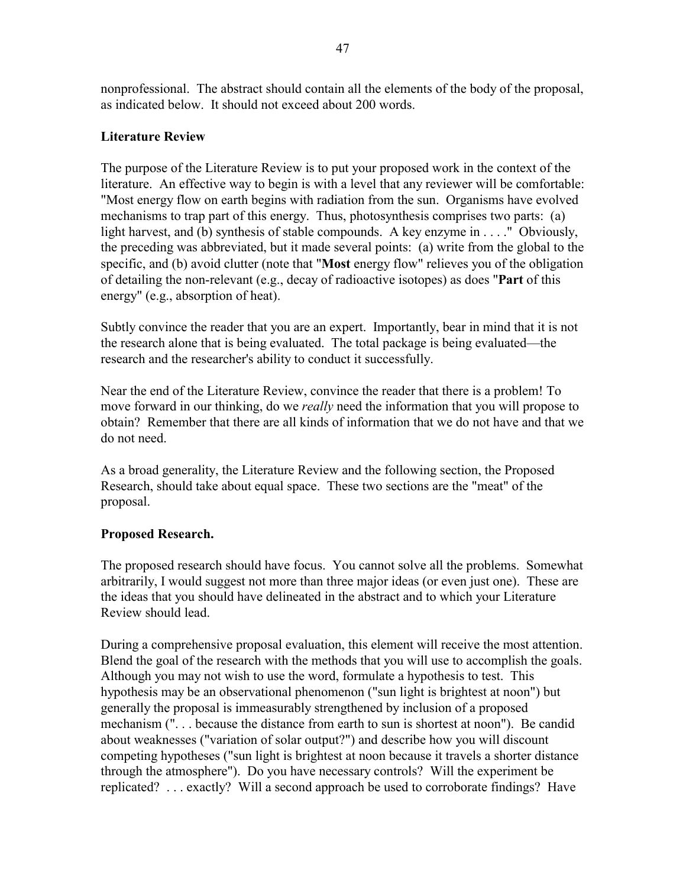nonprofessional. The abstract should contain all the elements of the body of the proposal, as indicated below. It should not exceed about 200 words.

# **Literature Review**

The purpose of the Literature Review is to put your proposed work in the context of the literature. An effective way to begin is with a level that any reviewer will be comfortable: "Most energy flow on earth begins with radiation from the sun. Organisms have evolved mechanisms to trap part of this energy. Thus, photosynthesis comprises two parts: (a) light harvest, and (b) synthesis of stable compounds. A key enzyme in . . . ." Obviously, the preceding was abbreviated, but it made several points: (a) write from the global to the specific, and (b) avoid clutter (note that "**Most** energy flow" relieves you of the obligation of detailing the non-relevant (e.g., decay of radioactive isotopes) as does "**Part** of this energy" (e.g., absorption of heat).

Subtly convince the reader that you are an expert. Importantly, bear in mind that it is not the research alone that is being evaluated. The total package is being evaluated—the research and the researcher's ability to conduct it successfully.

Near the end of the Literature Review, convince the reader that there is a problem! To move forward in our thinking, do we *really* need the information that you will propose to obtain? Remember that there are all kinds of information that we do not have and that we do not need.

As a broad generality, the Literature Review and the following section, the Proposed Research, should take about equal space. These two sections are the "meat" of the proposal.

# **Proposed Research.**

The proposed research should have focus. You cannot solve all the problems. Somewhat arbitrarily, I would suggest not more than three major ideas (or even just one). These are the ideas that you should have delineated in the abstract and to which your Literature Review should lead.

During a comprehensive proposal evaluation, this element will receive the most attention. Blend the goal of the research with the methods that you will use to accomplish the goals. Although you may not wish to use the word, formulate a hypothesis to test. This hypothesis may be an observational phenomenon ("sun light is brightest at noon") but generally the proposal is immeasurably strengthened by inclusion of a proposed mechanism (". . . because the distance from earth to sun is shortest at noon"). Be candid about weaknesses ("variation of solar output?") and describe how you will discount competing hypotheses ("sun light is brightest at noon because it travels a shorter distance through the atmosphere"). Do you have necessary controls? Will the experiment be replicated? . . . exactly? Will a second approach be used to corroborate findings? Have